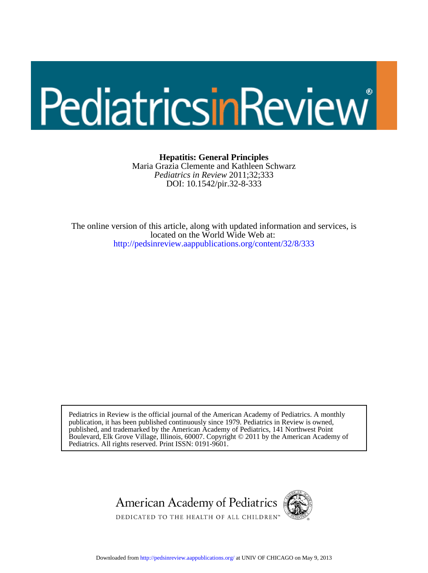# PediatricsinReview

DOI: 10.1542/pir.32-8-333 *Pediatrics in Review* 2011;32;333 Maria Grazia Clemente and Kathleen Schwarz **Hepatitis: General Principles**

<http://pedsinreview.aappublications.org/content/32/8/333> located on the World Wide Web at: The online version of this article, along with updated information and services, is

Pediatrics. All rights reserved. Print ISSN: 0191-9601. Boulevard, Elk Grove Village, Illinois, 60007. Copyright © 2011 by the American Academy of published, and trademarked by the American Academy of Pediatrics, 141 Northwest Point publication, it has been published continuously since 1979. Pediatrics in Review is owned, Pediatrics in Review is the official journal of the American Academy of Pediatrics. A monthly



Downloaded from<http://pedsinreview.aappublications.org/>at UNIV OF CHICAGO on May 9, 2013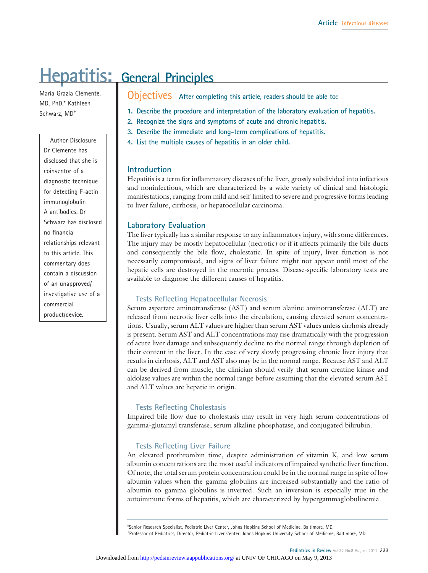# **Hepatitis: General Principles**

Maria Grazia Clemente, MD, PhD,\* Kathleen Schwarz, MD†

Author Disclosure Dr Clemente has disclosed that she is coinventor of a diagnostic technique for detecting F-actin immunoglobulin A antibodies. Dr Schwarz has disclosed no financial relationships relevant to this article. This commentary does contain a discussion of an unapproved/ investigative use of a commercial product/device.

Objectives **After completing this article, readers should be able to:**

- **1. Describe the procedure and interpretation of the laboratory evaluation of hepatitis.**
- **2. Recognize the signs and symptoms of acute and chronic hepatitis.**
- **3. Describe the immediate and long-term complications of hepatitis.**
- **4. List the multiple causes of hepatitis in an older child.**

#### **Introduction**

Hepatitis is a term for inflammatory diseases of the liver, grossly subdivided into infectious and noninfectious, which are characterized by a wide variety of clinical and histologic manifestations, ranging from mild and self-limited to severe and progressive forms leading to liver failure, cirrhosis, or hepatocellular carcinoma.

#### **Laboratory Evaluation**

The liver typically has a similar response to any inflammatory injury, with some differences. The injury may be mostly hepatocellular (necrotic) or if it affects primarily the bile ducts and consequently the bile flow, cholestatic. In spite of injury, liver function is not necessarily compromised, and signs of liver failure might not appear until most of the hepatic cells are destroyed in the necrotic process. Disease-specific laboratory tests are available to diagnose the different causes of hepatitis.

#### **Tests Reflecting Hepatocellular Necrosis**

Serum aspartate aminotransferase (AST) and serum alanine aminotransferase (ALT) are released from necrotic liver cells into the circulation, causing elevated serum concentrations. Usually, serum ALT values are higher than serum AST values unless cirrhosis already is present. Serum AST and ALT concentrations may rise dramatically with the progression of acute liver damage and subsequently decline to the normal range through depletion of their content in the liver. In the case of very slowly progressing chronic liver injury that results in cirrhosis, ALT and AST also may be in the normal range. Because AST and ALT can be derived from muscle, the clinician should verify that serum creatine kinase and aldolase values are within the normal range before assuming that the elevated serum AST and ALT values are hepatic in origin.

#### **Tests Reflecting Cholestasis**

Impaired bile flow due to cholestasis may result in very high serum concentrations of gamma-glutamyl transferase, serum alkaline phosphatase, and conjugated bilirubin.

#### **Tests Reflecting Liver Failure**

An elevated prothrombin time, despite administration of vitamin K, and low serum albumin concentrations are the most useful indicators of impaired synthetic liver function. Of note, the total serum protein concentration could be in the normal range in spite of low albumin values when the gamma globulins are increased substantially and the ratio of albumin to gamma globulins is inverted. Such an inversion is especially true in the autoimmune forms of hepatitis, which are characterized by hypergammaglobulinemia.

\*Senior Research Specialist, Pediatric Liver Center, Johns Hopkins School of Medicine, Baltimore, MD. † Professor of Pediatrics, Director, Pediatric Liver Center, Johns Hopkins University School of Medicine, Baltimore, MD.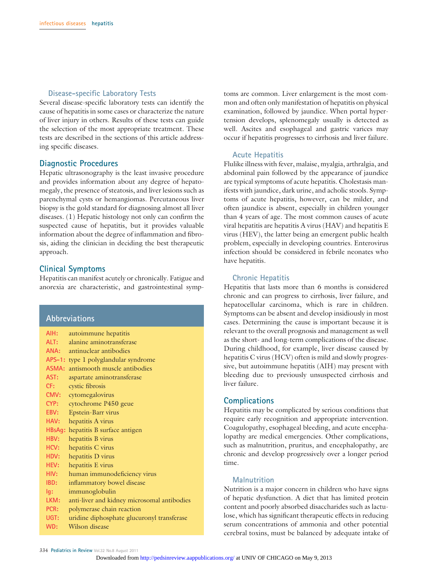#### **Disease-specific Laboratory Tests**

Several disease-specific laboratory tests can identify the cause of hepatitis in some cases or characterize the nature of liver injury in others. Results of these tests can guide the selection of the most appropriate treatment. These tests are described in the sections of this article addressing specific diseases.

#### **Diagnostic Procedures**

Hepatic ultrasonography is the least invasive procedure and provides information about any degree of hepatomegaly, the presence of steatosis, and liver lesions such as parenchymal cysts or hemangiomas. Percutaneous liver biopsy is the gold standard for diagnosing almost all liver diseases. (1) Hepatic histology not only can confirm the suspected cause of hepatitis, but it provides valuable information about the degree of inflammation and fibrosis, aiding the clinician in deciding the best therapeutic approach.

#### **Clinical Symptoms**

Hepatitis can manifest acutely or chronically. Fatigue and anorexia are characteristic, and gastrointestinal symp-

#### **Abbreviations**

| AIH: | autoimmune hepatitis                        |
|------|---------------------------------------------|
| ALT: | alanine aminotransferase                    |
| ANA: | antinuclear antibodies                      |
|      | APS-1: type 1 polyglandular syndrome        |
|      | ASMA: antismooth muscle antibodies          |
| AST: | aspartate aminotransferase                  |
| CF:  | cystic fibrosis                             |
| CMV: | cytomegalovirus                             |
| CYP: | cytochrome P450 geue                        |
| EBV: | Epstein-Barr virus                          |
| HAV: | hepatitis A virus                           |
|      | HBsAg: hepatitis B surface antigen          |
| HBV: | hepatitis B virus                           |
| HCV: | hepatitis C virus                           |
| HDV: | hepatitis D virus                           |
| HEV: | hepatitis E virus                           |
| HIV: | human immunodeficiency virus                |
| IBD: | inflammatory bowel disease                  |
| lg:  | immunoglobulin                              |
| LKM: | anti-liver and kidney microsomal antibodies |
| PCR: | polymerase chain reaction                   |
| UGT: | uridine diphosphate glucuronyl transferase  |
| WD:  | Wilson disease                              |

toms are common. Liver enlargement is the most common and often only manifestation of hepatitis on physical examination, followed by jaundice. When portal hypertension develops, splenomegaly usually is detected as well. Ascites and esophageal and gastric varices may occur if hepatitis progresses to cirrhosis and liver failure.

#### **Acute Hepatitis**

Flulike illness with fever, malaise, myalgia, arthralgia, and abdominal pain followed by the appearance of jaundice are typical symptoms of acute hepatitis. Cholestasis manifests with jaundice, dark urine, and acholic stools. Symptoms of acute hepatitis, however, can be milder, and often jaundice is absent, especially in children younger than 4 years of age. The most common causes of acute viral hepatitis are hepatitis A virus (HAV) and hepatitis E virus (HEV), the latter being an emergent public health problem, especially in developing countries. Enterovirus infection should be considered in febrile neonates who have hepatitis.

#### **Chronic Hepatitis**

Hepatitis that lasts more than 6 months is considered chronic and can progress to cirrhosis, liver failure, and hepatocellular carcinoma, which is rare in children. Symptoms can be absent and develop insidiously in most cases. Determining the cause is important because it is relevant to the overall prognosis and management as well as the short- and long-term complications of the disease. During childhood, for example, liver disease caused by hepatitis C virus (HCV) often is mild and slowly progressive, but autoimmune hepatitis (AIH) may present with bleeding due to previously unsuspected cirrhosis and liver failure.

#### **Complications**

Hepatitis may be complicated by serious conditions that require early recognition and appropriate intervention. Coagulopathy, esophageal bleeding, and acute encephalopathy are medical emergencies. Other complications, such as malnutrition, pruritus, and encephalopathy, are chronic and develop progressively over a longer period time.

#### **Malnutrition**

Nutrition is a major concern in children who have signs of hepatic dysfunction. A diet that has limited protein content and poorly absorbed disaccharides such as lactulose, which has significant therapeutic effects in reducing serum concentrations of ammonia and other potential cerebral toxins, must be balanced by adequate intake of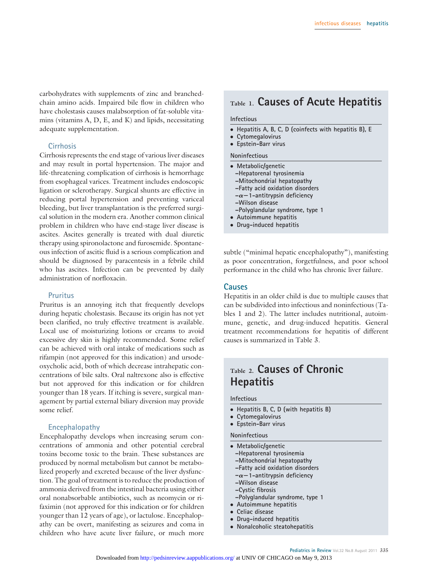carbohydrates with supplements of zinc and branchedchain amino acids. Impaired bile flow in children who have cholestasis causes malabsorption of fat-soluble vitamins (vitamins A, D, E, and K) and lipids, necessitating adequate supplementation.

#### **Cirrhosis**

Cirrhosis represents the end stage of various liver diseases and may result in portal hypertension. The major and life-threatening complication of cirrhosis is hemorrhage from esophageal varices. Treatment includes endoscopic ligation or sclerotherapy. Surgical shunts are effective in reducing portal hypertension and preventing variceal bleeding, but liver transplantation is the preferred surgical solution in the modern era. Another common clinical problem in children who have end-stage liver disease is ascites. Ascites generally is treated with dual diuretic therapy using spironolactone and furosemide. Spontaneous infection of ascitic fluid is a serious complication and should be diagnosed by paracentesis in a febrile child who has ascites. Infection can be prevented by daily administration of norfloxacin.

#### **Pruritus**

Pruritus is an annoying itch that frequently develops during hepatic cholestasis. Because its origin has not yet been clarified, no truly effective treatment is available. Local use of moisturizing lotions or creams to avoid excessive dry skin is highly recommended. Some relief can be achieved with oral intake of medications such as rifampin (not approved for this indication) and ursodeoxycholic acid, both of which decrease intrahepatic concentrations of bile salts. Oral naltrexone also is effective but not approved for this indication or for children younger than 18 years. If itching is severe, surgical management by partial external biliary diversion may provide some relief.

#### **Encephalopathy**

Encephalopathy develops when increasing serum concentrations of ammonia and other potential cerebral toxins become toxic to the brain. These substances are produced by normal metabolism but cannot be metabolized properly and excreted because of the liver dysfunction. The goal of treatment is to reduce the production of ammonia derived from the intestinal bacteria using either oral nonabsorbable antibiotics, such as neomycin or rifaximin (not approved for this indication or for children younger than 12 years of age), or lactulose. Encephalopathy can be overt, manifesting as seizures and coma in children who have acute liver failure, or much more

# **Table 1. Causes of Acute Hepatitis**

#### **Infectious**

- **Hepatitis A, B, C, D (coinfects with hepatitis B), E**
- **Cytomegalovirus** ● **Epstein-Barr virus**
- 

#### **Noninfectious**

- **Metabolic/genetic**
- **–Hepatorenal tyrosinemia**
- **–Mitochondrial hepatopathy**
- **–Fatty acid oxidation disorders**
- **–**-**1-antitrypsin deficiency**
- **–Wilson disease**
- **–Polyglandular syndrome, type 1**
- **Autoimmune hepatitis**
- **Drug-induced hepatitis**

subtle ("minimal hepatic encephalopathy"), manifesting as poor concentration, forgetfulness, and poor school performance in the child who has chronic liver failure.

#### **Causes**

Hepatitis in an older child is due to multiple causes that can be subdivided into infectious and noninfectious (Tables 1 and 2). The latter includes nutritional, autoimmune, genetic, and drug-induced hepatitis. General treatment recommendations for hepatitis of different causes is summarized in Table 3.

## **Table 2. Causes of Chronic Hepatitis**

#### **Infectious**

- **Hepatitis B, C, D (with hepatitis B)**
- **Cytomegalovirus**
- **Epstein-Barr virus**

#### **Noninfectious**

- **Metabolic/genetic**
	- **–Hepatorenal tyrosinemia**
	- **–Mitochondrial hepatopathy**
	- **–Fatty acid oxidation disorders**
	- **–**-**1-antitrypsin deficiency**
	- **–Wilson disease**
	- **–Cystic fibrosis**
- **–Polyglandular syndrome, type 1**
- **Autoimmune hepatitis**
- **Celiac disease**
- **Drug-induced hepatitis**
- **Nonalcoholic steatohepatitis**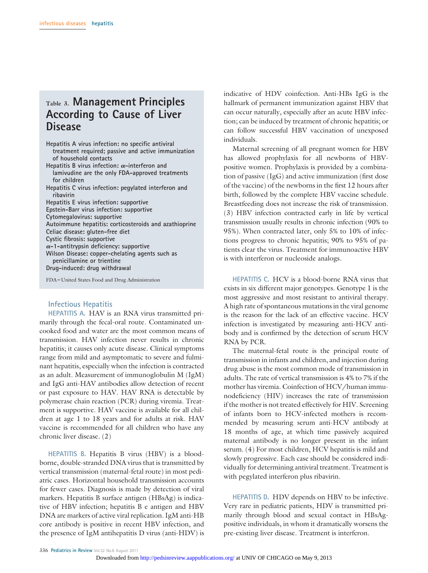# **Table 3. Management Principles According to Cause of Liver Disease**

**Hepatitis A virus infection: no specific antiviral treatment required; passive and active immunization of household contacts**

Hepatitis B virus infection:  $\alpha$ -interferon and **lamivudine are the only FDA-approved treatments for children**

**Hepatitis C virus infection: pegylated interferon and ribavirin**

**Hepatitis E virus infection: supportive**

**Epstein-Barr virus infection: supportive**

**Cytomegalovirus: supportive**

**Autoimmune hepatitis: corticosteroids and azathioprine Celiac disease: gluten-free diet**

**Cystic fibrosis: supportive**

**-1-antitrypsin deficiency: supportive**

**Wilson Disease: copper-chelating agents such as**

**penicillamine or trientine Drug-induced: drug withdrawal**

FDA=United States Food and Drug Administration

#### **Infectious Hepatitis**

**HEPATITIS A.** HAV is an RNA virus transmitted primarily through the fecal-oral route. Contaminated uncooked food and water are the most common means of transmission. HAV infection never results in chronic hepatitis; it causes only acute disease. Clinical symptoms range from mild and asymptomatic to severe and fulminant hepatitis, especially when the infection is contracted as an adult. Measurement of immunoglobulin M (IgM) and IgG anti-HAV antibodies allow detection of recent or past exposure to HAV. HAV RNA is detectable by polymerase chain reaction (PCR) during viremia. Treatment is supportive. HAV vaccine is available for all children at age 1 to 18 years and for adults at risk. HAV vaccine is recommended for all children who have any chronic liver disease. (2)

**HEPATITIS B.** Hepatitis B virus (HBV) is a bloodborne, double-stranded DNA virus that is transmitted by vertical transmission (maternal-fetal route) in most pediatric cases. Horizontal household transmission accounts for fewer cases. Diagnosis is made by detection of viral markers. Hepatitis B surface antigen (HBsAg) is indicative of HBV infection; hepatitis B e antigen and HBV DNA are markers of active viral replication. IgM anti-HB core antibody is positive in recent HBV infection, and the presence of IgM antihepatitis D virus (anti-HDV) is

indicative of HDV coinfection. Anti-HBs IgG is the hallmark of permanent immunization against HBV that can occur naturally, especially after an acute HBV infection; can be induced by treatment of chronic hepatitis; or can follow successful HBV vaccination of unexposed individuals.

Maternal screening of all pregnant women for HBV has allowed prophylaxis for all newborns of HBVpositive women. Prophylaxis is provided by a combination of passive (IgG) and active immunization (first dose of the vaccine) of the newborns in the first 12 hours after birth, followed by the complete HBV vaccine schedule. Breastfeeding does not increase the risk of transmission. (3) HBV infection contracted early in life by vertical transmission usually results in chronic infection (90% to 95%). When contracted later, only 5% to 10% of infections progress to chronic hepatitis; 90% to 95% of patients clear the virus. Treatment for immunoactive HBV is with interferon or nucleoside analogs.

**HEPATITIS C.** HCV is a blood-borne RNA virus that exists in six different major genotypes. Genotype 1 is the most aggressive and most resistant to antiviral therapy. A high rate of spontaneous mutations in the viral genome is the reason for the lack of an effective vaccine. HCV infection is investigated by measuring anti-HCV antibody and is confirmed by the detection of serum HCV RNA by PCR.

The maternal-fetal route is the principal route of transmission in infants and children, and injection during drug abuse is the most common mode of transmission in adults. The rate of vertical transmission is 4% to 7% if the mother has viremia. Coinfection of HCV/human immunodeficiency (HIV) increases the rate of transmission if the mother is not treated effectively for HIV. Screening of infants born to HCV-infected mothers is recommended by measuring serum anti-HCV antibody at 18 months of age, at which time passively acquired maternal antibody is no longer present in the infant serum. (4) For most children, HCV hepatitis is mild and slowly progressive. Each case should be considered individually for determining antiviral treatment. Treatment is with pegylated interferon plus ribavirin.

**HEPATITIS D.** HDV depends on HBV to be infective. Very rare in pediatric patients, HDV is transmitted primarily through blood and sexual contact in HBsAgpositive individuals, in whom it dramatically worsens the pre-existing liver disease. Treatment is interferon.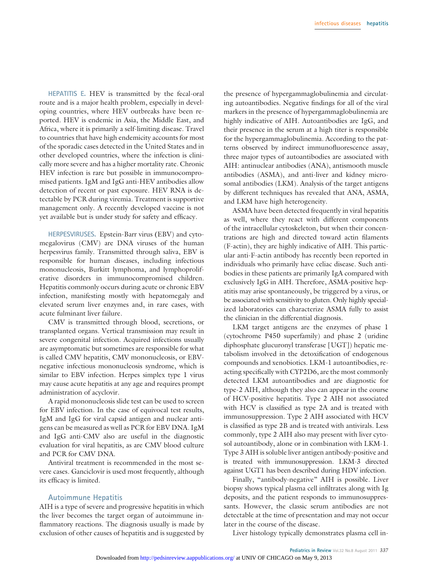**HEPATITIS E.** HEV is transmitted by the fecal-oral route and is a major health problem, especially in developing countries, where HEV outbreaks have been reported. HEV is endemic in Asia, the Middle East, and Africa, where it is primarily a self-limiting disease. Travel to countries that have high endemicity accounts for most of the sporadic cases detected in the United States and in other developed countries, where the infection is clinically more severe and has a higher mortality rate. Chronic HEV infection is rare but possible in immunocompromised patients. IgM and IgG anti-HEV antibodies allow detection of recent or past exposure. HEV RNA is detectable by PCR during viremia. Treatment is supportive management only. A recently developed vaccine is not yet available but is under study for safety and efficacy.

**HERPESVIRUSES.** Epstein-Barr virus **(**EBV) and cytomegalovirus (CMV) are DNA viruses of the human herpesvirus family. Transmitted through saliva, EBV is responsible for human diseases, including infectious mononucleosis, Burkitt lymphoma, and lymphoproliferative disorders in immunocompromised children. Hepatitis commonly occurs during acute or chronic EBV infection, manifesting mostly with hepatomegaly and elevated serum liver enzymes and, in rare cases, with acute fulminant liver failure.

CMV is transmitted through blood, secretions, or transplanted organs. Vertical transmission may result in severe congenital infection. Acquired infections usually are asymptomatic but sometimes are responsible for what is called CMV hepatitis, CMV mononucleosis, or EBVnegative infectious mononucleosis syndrome, which is similar to EBV infection. Herpes simplex type 1 virus may cause acute hepatitis at any age and requires prompt administration of acyclovir.

A rapid mononucleosis slide test can be used to screen for EBV infection. In the case of equivocal test results, IgM and IgG for viral capsid antigen and nuclear antigens can be measured as well as PCR for EBV DNA. IgM and IgG anti-CMV also are useful in the diagnostic evaluation for viral hepatitis, as are CMV blood culture and PCR for CMV DNA.

Antiviral treatment is recommended in the most severe cases. Ganciclovir is used most frequently, although its efficacy is limited.

#### **Autoimmune Hepatitis**

AIH is a type of severe and progressive hepatitis in which the liver becomes the target organ of autoimmune inflammatory reactions. The diagnosis usually is made by exclusion of other causes of hepatitis and is suggested by

the presence of hypergammaglobulinemia and circulating autoantibodies. Negative findings for all of the viral markers in the presence of hypergammaglobulinemia are highly indicative of AIH. Autoantibodies are IgG, and their presence in the serum at a high titer is responsible for the hypergammaglobulinemia. According to the patterns observed by indirect immunofluorescence assay, three major types of autoantibodies are associated with AIH: antinuclear antibodies (ANA), antismooth muscle antibodies (ASMA), and anti-liver and kidney microsomal antibodies (LKM). Analysis of the target antigens by different techniques has revealed that ANA, ASMA, and LKM have high heterogeneity.

ASMA have been detected frequently in viral hepatitis as well, where they react with different components of the intracellular cytoskeleton, but when their concentrations are high and directed toward actin filaments (F-actin), they are highly indicative of AIH. This particular anti-F-actin antibody has recently been reported in individuals who primarily have celiac disease. Such antibodies in these patients are primarily IgA compared with exclusively IgG in AIH. Therefore, ASMA-positive hepatitis may arise spontaneously, be triggered by a virus, or be associated with sensitivity to gluten. Only highly specialized laboratories can characterize ASMA fully to assist the clinician in the differential diagnosis.

LKM target antigens are the enzymes of phase 1 (cytochrome P450 superfamily) and phase 2 (uridine diphosphate glucuronyl transferase [UGT]) hepatic metabolism involved in the detoxification of endogenous compounds and xenobiotics. LKM-1 autoantibodies, reacting specifically with CYP2D6, are the most commonly detected LKM autoantibodies and are diagnostic for type-2 AIH, although they also can appear in the course of HCV-positive hepatitis. Type 2 AIH not associated with HCV is classified as type 2A and is treated with immunosuppression. Type 2 AIH associated with HCV is classified as type 2B and is treated with antivirals. Less commonly, type 2 AIH also may present with liver cytosol autoantibody, alone or in combination with LKM-1. Type 3 AIH is soluble liver antigen antibody-positive and is treated with immunosuppression. LKM-3 directed against UGT1 has been described during HDV infection.

Finally, "antibody-negative" AIH is possible. Liver biopsy shows typical plasma cell infiltrates along with Ig deposits, and the patient responds to immunosuppressants. However, the classic serum antibodies are not detectable at the time of presentation and may not occur later in the course of the disease.

Liver histology typically demonstrates plasma cell in-

Pediatrics in Review Vol.32 No.8 August 2011 337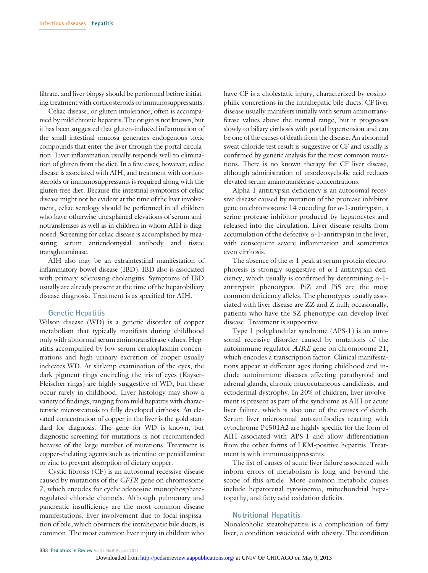filtrate, and liver biopsy should be performed before initiating treatment with corticosteroids or immunosuppressants.

Celiac disease, or gluten intolerance, often is accompanied by mild chronic hepatitis. The origin is not known, but it has been suggested that gluten-induced inflammation of the small intestinal mucosa generates endogenous toxic compounds that enter the liver through the portal circulation. Liver inflammation usually responds well to elimination of gluten from the diet. In a few cases, however, celiac disease is associated with AIH, and treatment with corticosteroids or immunosuppressants is required along with the gluten-free diet. Because the intestinal symptoms of celiac disease might not be evident at the time of the liver involvement, celiac serology should be performed in all children who have otherwise unexplained elevations of serum aminotransferases as well as in children in whom AIH is diagnosed. Screening for celiac disease is accomplished by measuring serum antiendomysial antibody and tissue transglutaminase.

AIH also may be an extraintestinal manifestation of inflammatory bowel disease (IBD). IBD also is associated with primary sclerosing cholangitis. Symptoms of IBD usually are already present at the time of the hepatobiliary disease diagnosis. Treatment is as specified for AIH.

#### **Genetic Hepatitis**

Wilson disease (WD) is a genetic disorder of copper metabolism that typically manifests during childhood only with abnormal serum aminotransferase values. Hepatitis accompanied by low serum ceruloplasmin concentrations and high urinary excretion of copper usually indicates WD. At slitlamp examination of the eyes, the dark pigment rings encircling the iris of eyes (Kayser-Fleischer rings) are highly suggestive of WD, but these occur rarely in childhood. Liver histology may show a variety of findings, ranging from mild hepatitis with characteristic microsteatosis to fully developed cirrhosis. An elevated concentration of copper in the liver is the gold standard for diagnosis. The gene for WD is known, but diagnostic screening for mutations is not recommended because of the large number of mutations. Treatment is copper-chelating agents such as trientine or penicillamine or zinc to prevent absorption of dietary copper.

Cystic fibrosis (CF) is an autosomal recessive disease caused by mutations of the *CFTR* gene on chromosome 7, which encodes for cyclic adenosine monophosphateregulated chloride channels. Although pulmonary and pancreatic insufficiency are the most common disease manifestations, liver involvement due to focal inspissation of bile, which obstructs the intrahepatic bile ducts, is common. The most common liver injury in children who

have CF is a cholestatic injury, characterized by eosinophilic concretions in the intrahepatic bile ducts. CF liver disease usually manifests initially with serum aminotransferase values above the normal range, but it progresses slowly to biliary cirrhosis with portal hypertension and can be one of the causes of death from the disease. An abnormal sweat chloride test result is suggestive of CF and usually is confirmed by genetic analysis for the most common mutations. There is no known therapy for CF liver disease, although administration of ursodeoxycholic acid reduces elevated serum aminotransferase concentrations.

Alpha-1-antitrypsin deficiency is an autosomal recessive disease caused by mutation of the protease inhibitor gene on chromosome 14 encoding for  $\alpha$ -1-antitrypsin, a serine protease inhibitor produced by hepatocytes and released into the circulation. Liver disease results from accumulation of the defective  $\alpha$ -1-antitrypsin in the liver, with consequent severe inflammation and sometimes even cirrhosis.

The absence of the  $\alpha$ -1 peak at serum protein electrophoresis is strongly suggestive of  $\alpha$ -1-antitrypsin deficiency, which usually is confirmed by determining  $\alpha$ -1antitrypsin phenotypes. PiZ and PiS are the most common deficiency alleles. The phenotypes usually associated with liver disease are ZZ and Z null; occasionally, patients who have the SZ phenotype can develop liver disease. Treatment is supportive.

Type 1 polyglandular syndrome (APS-1) is an autosomal recessive disorder caused by mutations of the autoimmune regulator *AIRE* gene on chromosome 21, which encodes a transcription factor. Clinical manifestations appear at different ages during childhood and include autoimmune diseases affecting parathyroid and adrenal glands, chronic mucocutaneous candidiasis, and ectodermal dystrophy. In 20% of children, liver involvement is present as part of the syndrome as AIH or acute liver failure, which is also one of the causes of death. Serum liver microsomal autoantibodies reacting with cytochrome P4501A2 are highly specific for the form of AIH associated with APS-1 and allow differentiation from the other forms of LKM-positive hepatitis. Treatment is with immunosuppressants.

The list of causes of acute liver failure associated with inborn errors of metabolism is long and beyond the scope of this article. More common metabolic causes include hepatorenal tyrosinemia, mitochondrial hepatopathy, and fatty acid oxidation deficits.

#### **Nutritional Hepatitis**

Nonalcoholic steatohepatitis is a complication of fatty liver, a condition associated with obesity. The condition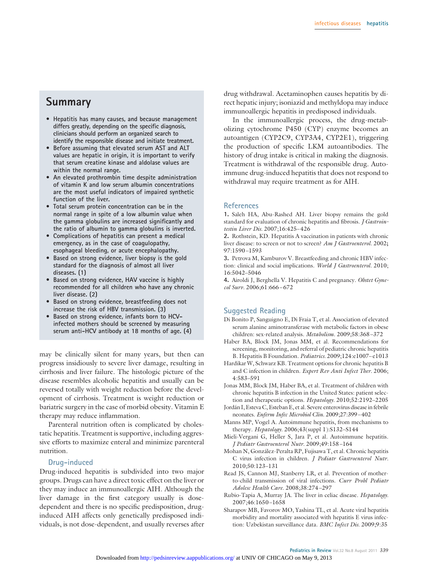## **Summary**

- **Hepatitis has many causes, and because management differs greatly, depending on the specific diagnosis, clinicians should perform an organized search to identify the responsible disease and initiate treatment.**
- **Before assuming that elevated serum AST and ALT values are hepatic in origin, it is important to verify that serum creatine kinase and aldolase values are within the normal range.**
- **An elevated prothrombin time despite administration of vitamin K and low serum albumin concentrations are the most useful indicators of impaired synthetic function of the liver.**
- **Total serum protein concentration can be in the normal range in spite of a low albumin value when the gamma globulins are increased significantly and the ratio of albumin to gamma globulins is inverted.**
- **Complications of hepatitis can present a medical emergency, as in the case of coagulopathy, esophageal bleeding, or acute encephalopathy.**
- **Based on strong evidence, liver biopsy is the gold standard for the diagnosis of almost all liver diseases. (1)**
- **Based on strong evidence, HAV vaccine is highly recommended for all children who have any chronic liver disease. (2)**
- **Based on strong evidence, breastfeeding does not increase the risk of HBV transmission. (3)**
- **Based on strong evidence, infants born to HCVinfected mothers should be screened by measuring serum anti-HCV antibody at 18 months of age. (4)**

may be clinically silent for many years, but then can progress insidiously to severe liver damage, resulting in cirrhosis and liver failure. The histologic picture of the disease resembles alcoholic hepatitis and usually can be reversed totally with weight reduction before the development of cirrhosis. Treatment is weight reduction or bariatric surgery in the case of morbid obesity. Vitamin E therapy may reduce inflammation.

Parenteral nutrition often is complicated by cholestatic hepatitis. Treatment is supportive, including aggressive efforts to maximize enteral and minimize parenteral nutrition.

#### **Drug-induced**

Drug-induced hepatitis is subdivided into two major groups. Drugs can have a direct toxic effect on the liver or they may induce an immunoallergic AIH. Although the liver damage in the first category usually is dosedependent and there is no specific predisposition, druginduced AIH affects only genetically predisposed individuals, is not dose-dependent, and usually reverses after

drug withdrawal. Acetaminophen causes hepatitis by direct hepatic injury; isoniazid and methyldopa may induce immunoallergic hepatitis in predisposed individuals.

In the immunoallergic process, the drug-metabolizing cytochrome P450 (CYP) enzyme becomes an autoantigen (CYP2C9, CYP3A4, CYP2E1), triggering the production of specific LKM autoantibodies. The history of drug intake is critical in making the diagnosis. Treatment is withdrawal of the responsible drug. Autoimmune drug-induced hepatitis that does not respond to withdrawal may require treatment as for AIH.

#### **References**

**1.** Saleh HA, Abu-Rashed AH. Liver biopsy remains the gold standard for evaluation of chronic hepatitis and fibrosis. *J Gastrointestin Liver Dis.* 2007;16:425– 426

**2.** Rothstein, KD. Hepatitis A vaccination in patients with chronic liver disease: to screen or not to screen? *Am J Gastroenterol.* 2002**;** 97:1590 –1593

**3.** Petrova M, Kamburov V. Breastfeeding and chronic HBV infection: clinical and social implications. *World J Gastroenterol.* 2010; 16:5042–5046

**4.** Airoldi J, Berghella V. Hepatitis C and pregnancy. *Obstet Gynecol Surv.* 2006;61:666 – 672

#### **Suggested Reading**

- Di Bonito P, Sanguigno E, Di Fraia T, et al. Association of elevated serum alanine aminotransferase with metabolic factors in obese children: sex-related analysis. *Metabolism.* 2009;58:368 –372
- Haber BA, Block JM, Jonas MM, et al. Recommendations for screening, monitoring, and referral of pediatric chronic hepatitis B. Hepatitis B Foundation. *Pediatrics.* 2009;124:e1007– e1013
- Hardikar W, Schwarz KB. Treatment options for chronic hepatitis B and C infection in children. *Expert Rev Anti Infect Ther.* 2006; 4:583–591
- Jonas MM, Block JM, Haber BA, et al. Treatment of children with chronic hepatitis B infection in the United States: patient selection and therapeutic options. *Hepatology.* 2010;52:2192–2205
- Jordán I, Esteva C, Esteban E, et al. Severe enterovirus disease in febrile neonates. *Enferm Infec Microbiol Clin.* 2009;27:399 –402
- Manns MP, Vogel A. Autoimmune hepatitis, from mechanisms to therapy. *Hepatology.* 2006;43(suppl 1):S132–S144
- Mieli-Vergani G, Heller S, Jara P, et al. Autoimmune hepatitis. *J Pediatr Gastroenterol Nutr.* 2009;49:158 –164
- Mohan N, González-Peralta RP, Fujisawa T, et al. Chronic hepatitis C virus infection in children. *J Pediatr Gastroenterol Nutr.* 2010;50:123–131
- Read JS, Cannon MJ, Stanberry LR, et al. Prevention of motherto-child transmission of viral infections. *Curr Probl Pediatr Adolesc Health Care.* 2008;38:274 –297
- Rubio-Tapia A, Murray JA. The liver in celiac disease. *Hepatology.* 2007;46:1650 –1658
- Sharapov MB, Favorov MO, Yashina TL, et al. Acute viral hepatitis morbidity and mortality associated with hepatitis E virus infection: Uzbekistan surveillance data. *BMC Infect Dis.* 2009;9:35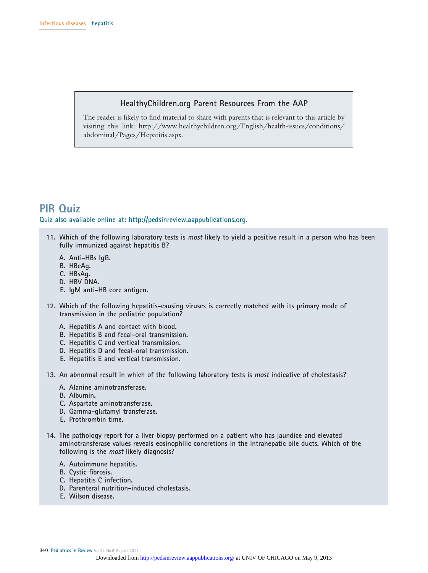#### **HealthyChildren.org Parent Resources From the AAP**

The reader is likely to find material to share with parents that is relevant to this article by visiting this link: http://www.healthychildren.org/English/health-issues/conditions/ abdominal/Pages/Hepatitis.aspx.

# **PIR Quiz**

**Quiz also available online at: http://pedsinreview.aappublications.org.**

- **11. Which of the following laboratory tests is most likely to yield a positive result in a person who has been fully immunized against hepatitis B?**
	- **A. Anti-HBs IgG.**
	- **B. HBeAg.**
	- **C. HBsAg.**
	- **D. HBV DNA.**
	- **E. IgM anti-HB core antigen.**
- **12. Which of the following hepatitis-causing viruses is correctly matched with its primary mode of transmission in the pediatric population?**
	- **A. Hepatitis A and contact with blood.**
	- **B. Hepatitis B and fecal-oral transmission.**
	- **C. Hepatitis C and vertical transmission.**
	- **D. Hepatitis D and fecal-oral transmission.**
	- **E. Hepatitis E and vertical transmission.**

**13. An abnormal result in which of the following laboratory tests is most indicative of cholestasis?**

- **A. Alanine aminotransferase.**
- **B. Albumin.**
- **C. Aspartate aminotransferase.**
- **D. Gamma-glutamyl transferase.**
- **E. Prothrombin time.**
- **14. The pathology report for a liver biopsy performed on a patient who has jaundice and elevated aminotransferase values reveals eosinophilic concretions in the intrahepatic bile ducts. Which of the following is the most likely diagnosis?**
	- **A. Autoimmune hepatitis.**
	- **B. Cystic fibrosis.**
	- **C. Hepatitis C infection.**
	- **D. Parenteral nutrition-induced cholestasis.**
	- **E. Wilson disease.**

340 **Pediatrics in Review** Vol.32 No.8 August 2011